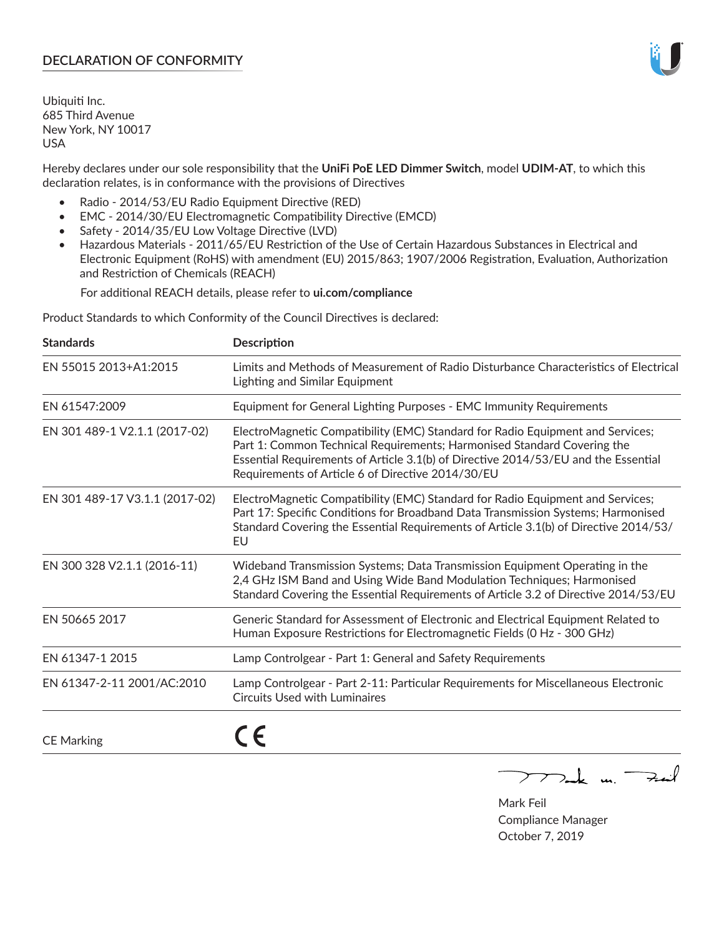# **DECLARATION OF CONFORMITY**

Ubiquiti Inc. 685 Third Avenue New York, NY 10017 USA

Hereby declares under our sole responsibility that the **UniFi PoE LED Dimmer Switch**, model **UDIM-AT**, to which this declaration relates, is in conformance with the provisions of Directives

- Radio 2014/53/EU Radio Equipment Directive (RED)
- EMC 2014/30/EU Electromagnetic Compatibility Directive (EMCD)
- Safety 2014/35/EU Low Voltage Directive (LVD)
- Hazardous Materials 2011/65/EU Restriction of the Use of Certain Hazardous Substances in Electrical and Electronic Equipment (RoHS) with amendment (EU) 2015/863; 1907/2006 Registration, Evaluation, Authorization and Restriction of Chemicals (REACH)

For additional REACH details, please refer to **ui.com/compliance**

Product Standards to which Conformity of the Council Directives is declared:

| <b>Standards</b>               | Description                                                                                                                                                                                                                                                                                          |
|--------------------------------|------------------------------------------------------------------------------------------------------------------------------------------------------------------------------------------------------------------------------------------------------------------------------------------------------|
| EN 55015 2013+A1:2015          | Limits and Methods of Measurement of Radio Disturbance Characteristics of Electrical<br>Lighting and Similar Equipment                                                                                                                                                                               |
| EN 61547:2009                  | Equipment for General Lighting Purposes - EMC Immunity Requirements                                                                                                                                                                                                                                  |
| EN 301 489-1 V2.1.1 (2017-02)  | ElectroMagnetic Compatibility (EMC) Standard for Radio Equipment and Services;<br>Part 1: Common Technical Requirements; Harmonised Standard Covering the<br>Essential Requirements of Article 3.1(b) of Directive 2014/53/EU and the Essential<br>Requirements of Article 6 of Directive 2014/30/EU |
| EN 301 489-17 V3.1.1 (2017-02) | ElectroMagnetic Compatibility (EMC) Standard for Radio Equipment and Services;<br>Part 17: Specific Conditions for Broadband Data Transmission Systems; Harmonised<br>Standard Covering the Essential Requirements of Article 3.1(b) of Directive 2014/53/<br>EU                                     |
| EN 300 328 V2.1.1 (2016-11)    | Wideband Transmission Systems; Data Transmission Equipment Operating in the<br>2,4 GHz ISM Band and Using Wide Band Modulation Techniques; Harmonised<br>Standard Covering the Essential Requirements of Article 3.2 of Directive 2014/53/EU                                                         |
| EN 50665 2017                  | Generic Standard for Assessment of Electronic and Electrical Equipment Related to<br>Human Exposure Restrictions for Electromagnetic Fields (0 Hz - 300 GHz)                                                                                                                                         |
| EN 61347-1 2015                | Lamp Controlgear - Part 1: General and Safety Requirements                                                                                                                                                                                                                                           |
| EN 61347-2-11 2001/AC:2010     | Lamp Controlgear - Part 2-11: Particular Requirements for Miscellaneous Electronic<br><b>Circuits Used with Luminaires</b>                                                                                                                                                                           |
| <b>CE Marking</b>              |                                                                                                                                                                                                                                                                                                      |

 $\nabla$  and  $\nabla$  and  $\nabla$ 

Mark Feil Compliance Manager October 7, 2019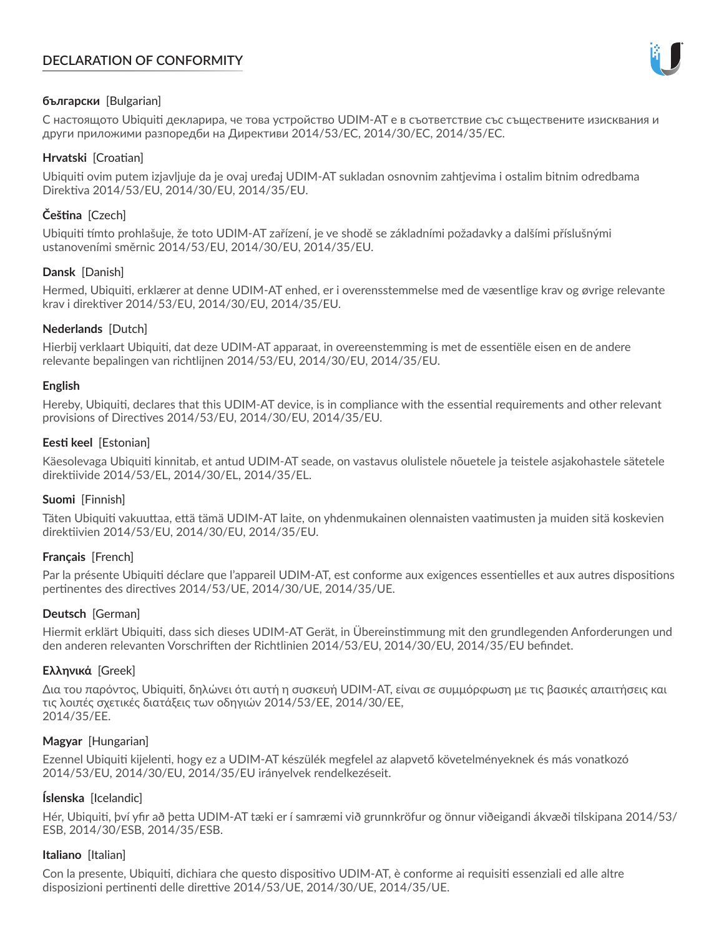# **DECLARATION OF CONFORMITY**



## **български** [Bulgarian]

С настоящото Ubiquiti декларира, че това устройство UDIM-AT е в съответствие със съществените изисквания и други приложими разпоредби на Директиви 2014/53/EC, 2014/30/ЕС, 2014/35/ЕС.

## **Hrvatski** [Croatian]

Ubiquiti ovim putem izjavljuje da je ovaj uređaj UDIM-AT sukladan osnovnim zahtjevima i ostalim bitnim odredbama Direktiva 2014/53/EU, 2014/30/EU, 2014/35/EU.

# **Čeština** [Czech]

Ubiquiti tímto prohlašuje, že toto UDIM-AT zařízení, je ve shodě se základními požadavky a dalšími příslušnými ustanoveními směrnic 2014/53/EU, 2014/30/EU, 2014/35/EU.

# **Dansk** [Danish]

Hermed, Ubiquiti, erklærer at denne UDIM-AT enhed, er i overensstemmelse med de væsentlige krav og øvrige relevante krav i direktiver 2014/53/EU, 2014/30/EU, 2014/35/EU.

# **Nederlands** [Dutch]

Hierbij verklaart Ubiquiti, dat deze UDIM-AT apparaat, in overeenstemming is met de essentiële eisen en de andere relevante bepalingen van richtlijnen 2014/53/EU, 2014/30/EU, 2014/35/EU.

## **English**

Hereby, Ubiquiti, declares that this UDIM-AT device, is in compliance with the essential requirements and other relevant provisions of Directives 2014/53/EU, 2014/30/EU, 2014/35/EU.

## **Eesti keel** [Estonian]

Käesolevaga Ubiquiti kinnitab, et antud UDIM-AT seade, on vastavus olulistele nõuetele ja teistele asjakohastele sätetele direktiivide 2014/53/EL, 2014/30/EL, 2014/35/EL.

## **Suomi** [Finnish]

Täten Ubiquiti vakuuttaa, että tämä UDIM-AT laite, on yhdenmukainen olennaisten vaatimusten ja muiden sitä koskevien direktiivien 2014/53/EU, 2014/30/EU, 2014/35/EU.

## **Français** [French]

Par la présente Ubiquiti déclare que l'appareil UDIM-AT, est conforme aux exigences essentielles et aux autres dispositions pertinentes des directives 2014/53/UE, 2014/30/UE, 2014/35/UE.

## **Deutsch** [German]

Hiermit erklärt Ubiquiti, dass sich dieses UDIM-AT Gerät, in Übereinstimmung mit den grundlegenden Anforderungen und den anderen relevanten Vorschriften der Richtlinien 2014/53/EU, 2014/30/EU, 2014/35/EU befindet.

## **Ελληνικά** [Greek]

Δια του παρόντος, Ubiquiti, δηλώνει ότι αυτή η συσκευή UDIM-AT, είναι σε συμμόρφωση με τις βασικές απαιτήσεις και τις λοιπές σχετικές διατάξεις των οδηγιών 2014/53/EE, 2014/30/EE, 2014/35/EE.

## **Magyar** [Hungarian]

Ezennel Ubiquiti kijelenti, hogy ez a UDIM-AT készülék megfelel az alapvető követelményeknek és más vonatkozó 2014/53/EU, 2014/30/EU, 2014/35/EU irányelvek rendelkezéseit.

## **Íslenska** [Icelandic]

Hér, Ubiquiti, því yfir að þetta UDIM-AT tæki er í samræmi við grunnkröfur og önnur viðeigandi ákvæði tilskipana 2014/53/ ESB, 2014/30/ESB, 2014/35/ESB.

## **Italiano** [Italian]

Con la presente, Ubiquiti, dichiara che questo dispositivo UDIM-AT, è conforme ai requisiti essenziali ed alle altre disposizioni pertinenti delle direttive 2014/53/UE, 2014/30/UE, 2014/35/UE.